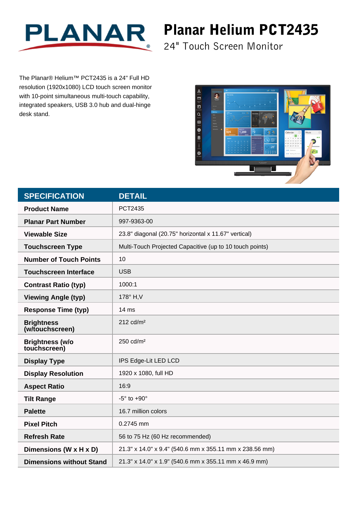

## Planar Helium PCT2435

24" Touch Screen Monitor

The Planar® Helium™ PCT2435 is a 24" Full HD resolution (1920x1080) LCD touch screen monitor with 10-point simultaneous multi-touch capability, integrated speakers, USB 3.0 hub and dual-hinge desk stand.



| <b>SPECIFICATION</b>                   | <b>DETAIL</b>                                            |
|----------------------------------------|----------------------------------------------------------|
| <b>Product Name</b>                    | PCT2435                                                  |
| <b>Planar Part Number</b>              | 997-9363-00                                              |
| <b>Viewable Size</b>                   | 23.8" diagonal (20.75" horizontal x 11.67" vertical)     |
| <b>Touchscreen Type</b>                | Multi-Touch Projected Capacitive (up to 10 touch points) |
| <b>Number of Touch Points</b>          | 10                                                       |
| <b>Touchscreen Interface</b>           | <b>USB</b>                                               |
| <b>Contrast Ratio (typ)</b>            | 1000:1                                                   |
| <b>Viewing Angle (typ)</b>             | 178° H, V                                                |
| <b>Response Time (typ)</b>             | $14 \text{ ms}$                                          |
| <b>Brightness</b><br>(w/touchscreen)   | $212$ cd/m <sup>2</sup>                                  |
| <b>Brightness (w/o</b><br>touchscreen) | 250 cd/m <sup>2</sup>                                    |
| <b>Display Type</b>                    | IPS Edge-Lit LED LCD                                     |
| <b>Display Resolution</b>              | 1920 x 1080, full HD                                     |
| <b>Aspect Ratio</b>                    | 16:9                                                     |
| <b>Tilt Range</b>                      | $-5^\circ$ to $+90^\circ$                                |
| <b>Palette</b>                         | 16.7 million colors                                      |
| <b>Pixel Pitch</b>                     | 0.2745 mm                                                |
| <b>Refresh Rate</b>                    | 56 to 75 Hz (60 Hz recommended)                          |
| Dimensions (W x H x D)                 | 21.3" x 14.0" x 9.4" (540.6 mm x 355.11 mm x 238.56 mm)  |
| <b>Dimensions without Stand</b>        | 21.3" x 14.0" x 1.9" (540.6 mm x 355.11 mm x 46.9 mm)    |